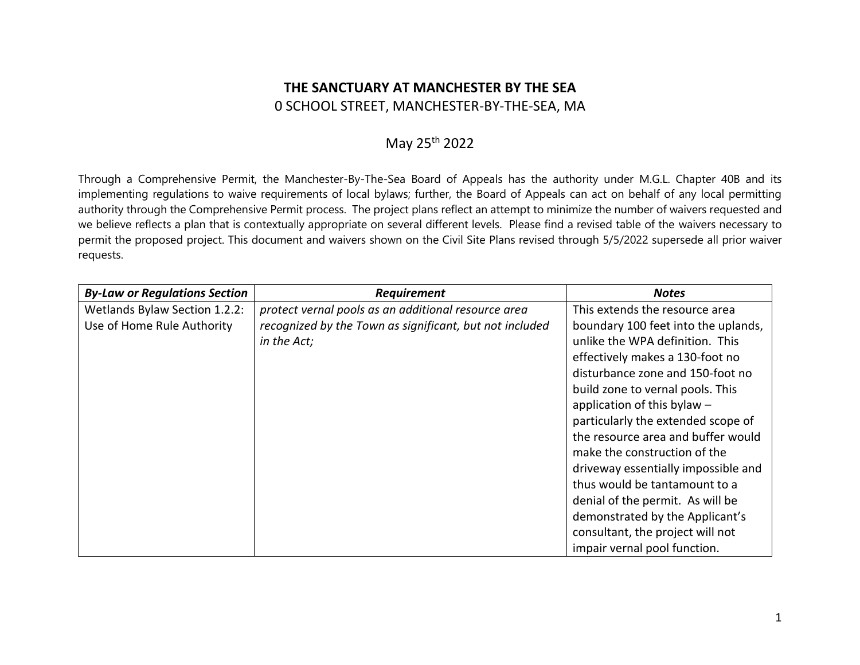## **THE SANCTUARY AT MANCHESTER BY THE SEA** 0 SCHOOL STREET, MANCHESTER-BY-THE-SEA, MA

## May 25<sup>th</sup> 2022

Through a Comprehensive Permit, the Manchester-By-The-Sea Board of Appeals has the authority under M.G.L. Chapter 40B and its implementing regulations to waive requirements of local bylaws; further, the Board of Appeals can act on behalf of any local permitting authority through the Comprehensive Permit process. The project plans reflect an attempt to minimize the number of waivers requested and we believe reflects a plan that is contextually appropriate on several different levels. Please find a revised table of the waivers necessary to permit the proposed project. This document and waivers shown on the Civil Site Plans revised through 5/5/2022 supersede all prior waiver requests.

| <b>By-Law or Regulations Section</b> | Requirement                                             | <b>Notes</b>                        |
|--------------------------------------|---------------------------------------------------------|-------------------------------------|
| Wetlands Bylaw Section 1.2.2:        | protect vernal pools as an additional resource area     | This extends the resource area      |
| Use of Home Rule Authority           | recognized by the Town as significant, but not included | boundary 100 feet into the uplands, |
|                                      | in the Act;                                             | unlike the WPA definition. This     |
|                                      |                                                         | effectively makes a 130-foot no     |
|                                      |                                                         | disturbance zone and 150-foot no    |
|                                      |                                                         | build zone to vernal pools. This    |
|                                      |                                                         | application of this bylaw -         |
|                                      |                                                         | particularly the extended scope of  |
|                                      |                                                         | the resource area and buffer would  |
|                                      |                                                         | make the construction of the        |
|                                      |                                                         | driveway essentially impossible and |
|                                      |                                                         | thus would be tantamount to a       |
|                                      |                                                         | denial of the permit. As will be    |
|                                      |                                                         | demonstrated by the Applicant's     |
|                                      |                                                         | consultant, the project will not    |
|                                      |                                                         | impair vernal pool function.        |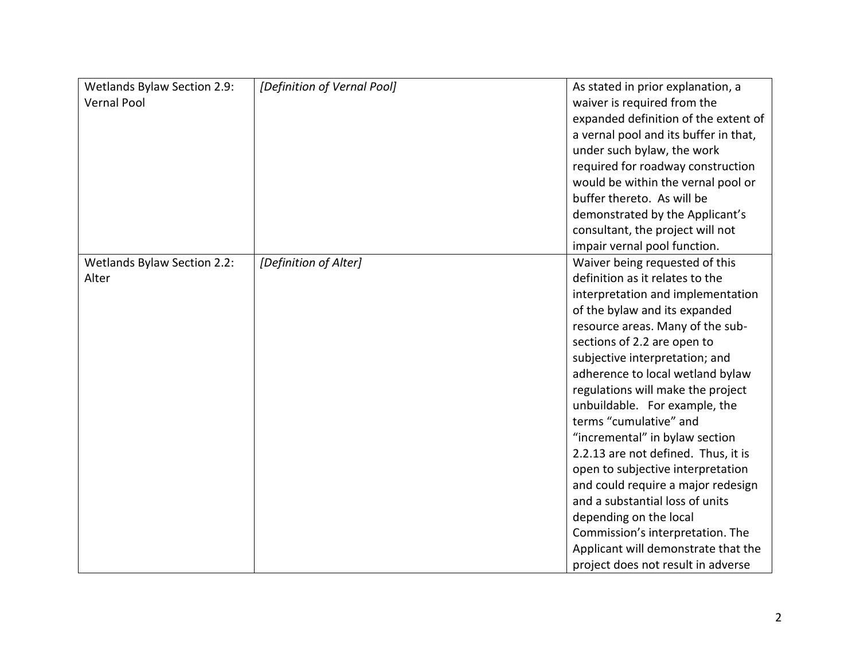| Wetlands Bylaw Section 2.9:<br><b>Vernal Pool</b> | [Definition of Vernal Pool] | As stated in prior explanation, a<br>waiver is required from the<br>expanded definition of the extent of<br>a vernal pool and its buffer in that,<br>under such bylaw, the work<br>required for roadway construction<br>would be within the vernal pool or<br>buffer thereto. As will be<br>demonstrated by the Applicant's<br>consultant, the project will not<br>impair vernal pool function.                                                                                                                                                                                                                                                                                                                    |
|---------------------------------------------------|-----------------------------|--------------------------------------------------------------------------------------------------------------------------------------------------------------------------------------------------------------------------------------------------------------------------------------------------------------------------------------------------------------------------------------------------------------------------------------------------------------------------------------------------------------------------------------------------------------------------------------------------------------------------------------------------------------------------------------------------------------------|
| Wetlands Bylaw Section 2.2:<br>Alter              | [Definition of Alter]       | Waiver being requested of this<br>definition as it relates to the<br>interpretation and implementation<br>of the bylaw and its expanded<br>resource areas. Many of the sub-<br>sections of 2.2 are open to<br>subjective interpretation; and<br>adherence to local wetland bylaw<br>regulations will make the project<br>unbuildable. For example, the<br>terms "cumulative" and<br>"incremental" in bylaw section<br>2.2.13 are not defined. Thus, it is<br>open to subjective interpretation<br>and could require a major redesign<br>and a substantial loss of units<br>depending on the local<br>Commission's interpretation. The<br>Applicant will demonstrate that the<br>project does not result in adverse |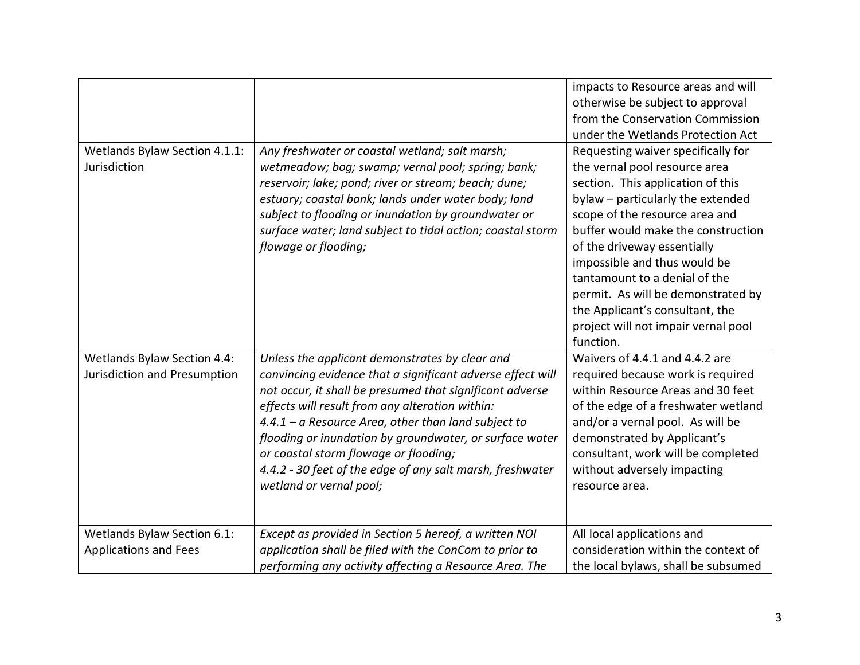| Wetlands Bylaw Section 4.1.1:<br>Jurisdiction                      | Any freshwater or coastal wetland; salt marsh;<br>wetmeadow; bog; swamp; vernal pool; spring; bank;<br>reservoir; lake; pond; river or stream; beach; dune;<br>estuary; coastal bank; lands under water body; land<br>subject to flooding or inundation by groundwater or<br>surface water; land subject to tidal action; coastal storm<br>flowage or flooding;                                                                                                                  | impacts to Resource areas and will<br>otherwise be subject to approval<br>from the Conservation Commission<br>under the Wetlands Protection Act<br>Requesting waiver specifically for<br>the vernal pool resource area<br>section. This application of this<br>bylaw - particularly the extended<br>scope of the resource area and<br>buffer would make the construction<br>of the driveway essentially<br>impossible and thus would be<br>tantamount to a denial of the<br>permit. As will be demonstrated by |
|--------------------------------------------------------------------|----------------------------------------------------------------------------------------------------------------------------------------------------------------------------------------------------------------------------------------------------------------------------------------------------------------------------------------------------------------------------------------------------------------------------------------------------------------------------------|----------------------------------------------------------------------------------------------------------------------------------------------------------------------------------------------------------------------------------------------------------------------------------------------------------------------------------------------------------------------------------------------------------------------------------------------------------------------------------------------------------------|
|                                                                    |                                                                                                                                                                                                                                                                                                                                                                                                                                                                                  | the Applicant's consultant, the<br>project will not impair vernal pool<br>function.                                                                                                                                                                                                                                                                                                                                                                                                                            |
| <b>Wetlands Bylaw Section 4.4:</b><br>Jurisdiction and Presumption | Unless the applicant demonstrates by clear and<br>convincing evidence that a significant adverse effect will<br>not occur, it shall be presumed that significant adverse<br>effects will result from any alteration within:<br>$4.4.1 - a$ Resource Area, other than land subject to<br>flooding or inundation by groundwater, or surface water<br>or coastal storm flowage or flooding;<br>4.4.2 - 30 feet of the edge of any salt marsh, freshwater<br>wetland or vernal pool; | Waivers of 4.4.1 and 4.4.2 are<br>required because work is required<br>within Resource Areas and 30 feet<br>of the edge of a freshwater wetland<br>and/or a vernal pool. As will be<br>demonstrated by Applicant's<br>consultant, work will be completed<br>without adversely impacting<br>resource area.                                                                                                                                                                                                      |
| Wetlands Bylaw Section 6.1:<br><b>Applications and Fees</b>        | Except as provided in Section 5 hereof, a written NOI<br>application shall be filed with the ConCom to prior to<br>performing any activity affecting a Resource Area. The                                                                                                                                                                                                                                                                                                        | All local applications and<br>consideration within the context of<br>the local bylaws, shall be subsumed                                                                                                                                                                                                                                                                                                                                                                                                       |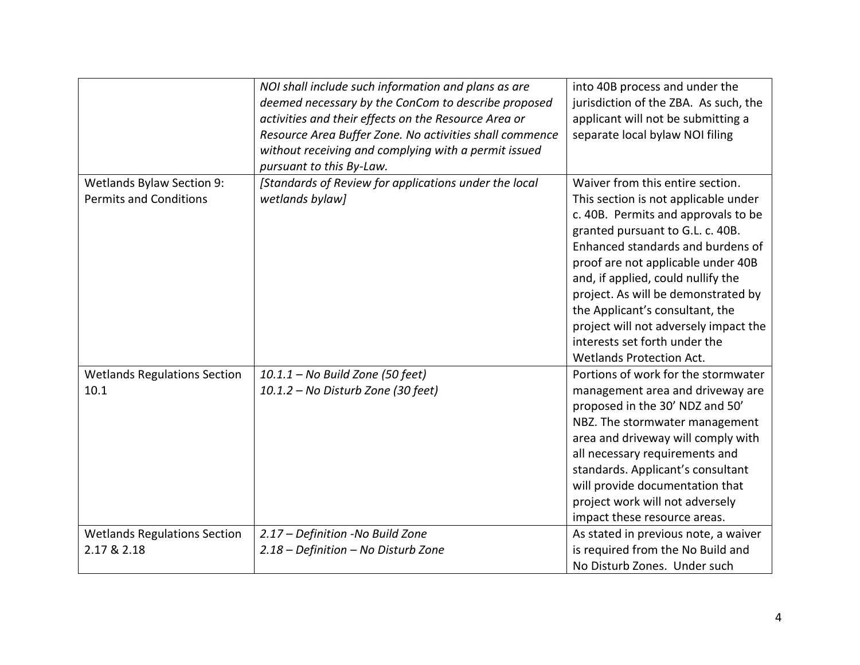|                                                            | NOI shall include such information and plans as are<br>deemed necessary by the ConCom to describe proposed<br>activities and their effects on the Resource Area or<br>Resource Area Buffer Zone. No activities shall commence<br>without receiving and complying with a permit issued<br>pursuant to this By-Law. | into 40B process and under the<br>jurisdiction of the ZBA. As such, the<br>applicant will not be submitting a<br>separate local bylaw NOI filing                                                                                                                                                                                                                                                                                                            |
|------------------------------------------------------------|-------------------------------------------------------------------------------------------------------------------------------------------------------------------------------------------------------------------------------------------------------------------------------------------------------------------|-------------------------------------------------------------------------------------------------------------------------------------------------------------------------------------------------------------------------------------------------------------------------------------------------------------------------------------------------------------------------------------------------------------------------------------------------------------|
| Wetlands Bylaw Section 9:<br><b>Permits and Conditions</b> | [Standards of Review for applications under the local<br>wetlands bylaw]                                                                                                                                                                                                                                          | Waiver from this entire section.<br>This section is not applicable under<br>c. 40B. Permits and approvals to be<br>granted pursuant to G.L. c. 40B.<br>Enhanced standards and burdens of<br>proof are not applicable under 40B<br>and, if applied, could nullify the<br>project. As will be demonstrated by<br>the Applicant's consultant, the<br>project will not adversely impact the<br>interests set forth under the<br><b>Wetlands Protection Act.</b> |
| <b>Wetlands Regulations Section</b><br>10.1                | 10.1.1 - No Build Zone (50 feet)<br>10.1.2 - No Disturb Zone (30 feet)                                                                                                                                                                                                                                            | Portions of work for the stormwater<br>management area and driveway are<br>proposed in the 30' NDZ and 50'<br>NBZ. The stormwater management<br>area and driveway will comply with<br>all necessary requirements and<br>standards. Applicant's consultant<br>will provide documentation that<br>project work will not adversely<br>impact these resource areas.                                                                                             |
| <b>Wetlands Regulations Section</b><br>2.17 & 2.18         | 2.17 - Definition -No Build Zone<br>2.18 - Definition - No Disturb Zone                                                                                                                                                                                                                                           | As stated in previous note, a waiver<br>is required from the No Build and<br>No Disturb Zones. Under such                                                                                                                                                                                                                                                                                                                                                   |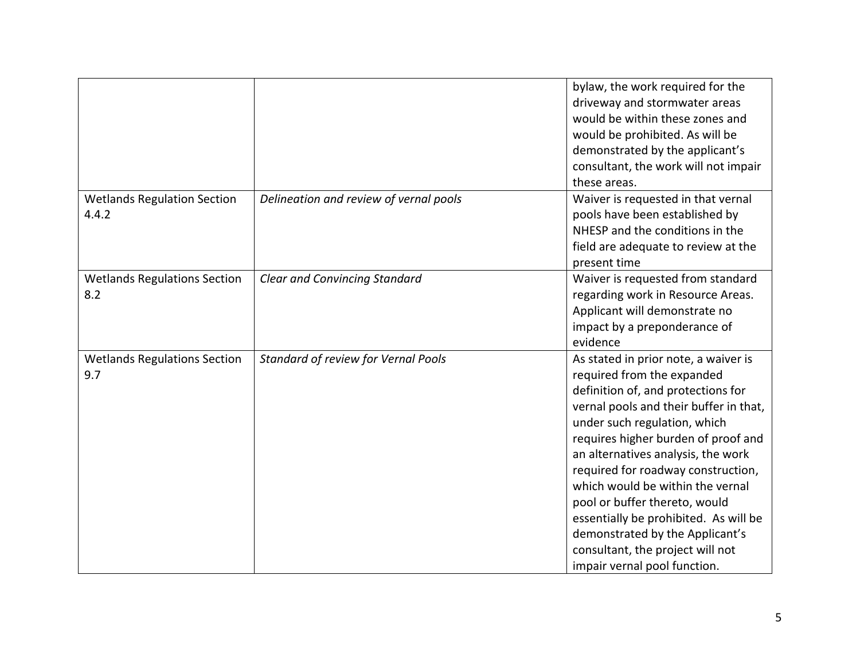|                                             |                                        | bylaw, the work required for the<br>driveway and stormwater areas<br>would be within these zones and<br>would be prohibited. As will be<br>demonstrated by the applicant's<br>consultant, the work will not impair<br>these areas.                                                                                                                                                                                                                                                                                         |
|---------------------------------------------|----------------------------------------|----------------------------------------------------------------------------------------------------------------------------------------------------------------------------------------------------------------------------------------------------------------------------------------------------------------------------------------------------------------------------------------------------------------------------------------------------------------------------------------------------------------------------|
| <b>Wetlands Regulation Section</b><br>4.4.2 | Delineation and review of vernal pools | Waiver is requested in that vernal<br>pools have been established by<br>NHESP and the conditions in the<br>field are adequate to review at the<br>present time                                                                                                                                                                                                                                                                                                                                                             |
| <b>Wetlands Regulations Section</b><br>8.2  | <b>Clear and Convincing Standard</b>   | Waiver is requested from standard<br>regarding work in Resource Areas.<br>Applicant will demonstrate no<br>impact by a preponderance of<br>evidence                                                                                                                                                                                                                                                                                                                                                                        |
| <b>Wetlands Regulations Section</b><br>9.7  | Standard of review for Vernal Pools    | As stated in prior note, a waiver is<br>required from the expanded<br>definition of, and protections for<br>vernal pools and their buffer in that,<br>under such regulation, which<br>requires higher burden of proof and<br>an alternatives analysis, the work<br>required for roadway construction,<br>which would be within the vernal<br>pool or buffer thereto, would<br>essentially be prohibited. As will be<br>demonstrated by the Applicant's<br>consultant, the project will not<br>impair vernal pool function. |